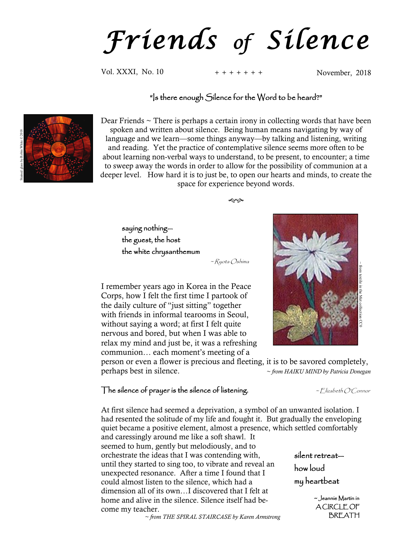*F r i e n d s of S i l e n c e*

Vol. XXXI, No. 10 **+ + + + + + +** November, 2018

## "|s there enough Silence for the Word to be heard?"



Dear Friends  $\sim$  There is perhaps a certain irony in collecting words that have been spoken and written about silence. Being human means navigating by way of language and we learn—some things anyway—by talking and listening, writing and reading. Yet the practice of contemplative silence seems more often to be about learning non-verbal ways to understand, to be present, to encounter; a time to sweep away the words in order to allow for the possibility of communion at a deeper level. How hard it is to just be, to open our hearts and minds, to create the space for experience beyond words.

موبهه

 saying nothing the guest, the host the white chrysanthemum

~ Ryota Oshima

I remember years ago in Korea in the Peace Corps, how I felt the first time I partook of the daily culture of "just sitting" together with friends in informal tearooms in Seoul, without saying a word; at first I felt quite nervous and bored, but when I was able to relax my mind and just be, it was a refreshing communion… each moment's meeting of a



person or even a flower is precious and fleeting, it is to be savored completely, perhaps best in silence. *~ from HAIKU MIND by Patricia Donegan*

## The silence of prayer is the silence of listening.  $\mathcal{F}$  =  $\mathcal{F}$  =  $\mathcal{F}$  =  $\mathcal{F}$  =  $\mathcal{F}$   $\mathcal{F}$   $\mathcal{F}$   $\mathcal{F}$   $\mathcal{F}$   $\mathcal{F}$   $\mathcal{F}$   $\mathcal{F}$   $\mathcal{F}$   $\mathcal{F}$   $\mathcal{F}$   $\mathcal{F}$   $\mathcal{F}$   $\mathcal{F}$

At first silence had seemed a deprivation, a symbol of an unwanted isolation. I had resented the solitude of my life and fought it. But gradually the enveloping quiet became a positive element, almost a presence, which settled comfortably

and caressingly around me like a soft shawl. It seemed to hum, gently but melodiously, and to orchestrate the ideas that I was contending with, until they started to sing too, to vibrate and reveal an unexpected resonance. After a time I found that I could almost listen to the silence, which had a dimension all of its own…I discovered that I felt at home and alive in the silence. Silence itself had become my teacher.

*~ from THE SPIRAL STAIRCASE by Karen Armstrong*

silent retreat how loud my heartbeat

> ~ Jeannie Martin in A CIRCLE OF BREATH